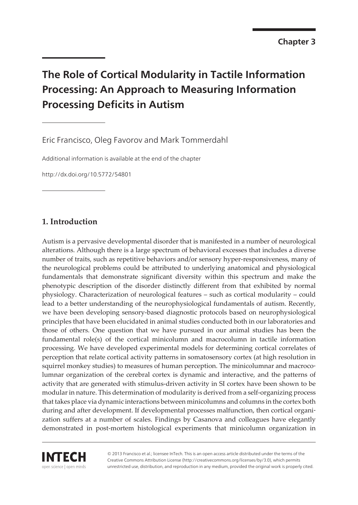# **The Role of Cortical Modularity in Tactile Information Processing: An Approach to Measuring Information Processing Deficits in Autism**

Eric Francisco, Oleg Favorov and Mark Tommerdahl

Additional information is available at the end of the chapter

http://dx.doi.org/10.5772/54801

# **1. Introduction**

Autism is a pervasive developmental disorder that is manifested in a number of neurological alterations. Although there is a large spectrum of behavioral excesses that includes a diverse number of traits, such as repetitive behaviors and/or sensory hyper-responsiveness, many of the neurological problems could be attributed to underlying anatomical and physiological fundamentals that demonstrate significant diversity within this spectrum and make the phenotypic description of the disorder distinctly different from that exhibited by normal physiology. Characterization of neurological features – such as cortical modularity – could lead to a better understanding of the neurophysiological fundamentals of autism. Recently, we have been developing sensory-based diagnostic protocols based on neurophysiological principles that have been elucidated in animal studies conducted both in our laboratories and those of others. One question that we have pursued in our animal studies has been the fundamental role(s) of the cortical minicolumn and macrocolumn in tactile information processing. We have developed experimental models for determining cortical correlates of perception that relate cortical activity patterns in somatosensory cortex (at high resolution in squirrel monkey studies) to measures of human perception. The minicolumnar and macrocolumnar organization of the cerebral cortex is dynamic and interactive, and the patterns of activity that are generated with stimulus-driven activity in SI cortex have been shown to be modular in nature. This determination of modularity is derived from a self-organizing process that takes place via dynamic interactions between minicolumns and columns in the cortex both during and after development. If developmental processes malfunction, then cortical organization suffers at a number of scales. Findings by Casanova and colleagues have elegantly demonstrated in post-mortem histological experiments that minicolumn organization in



© 2013 Francisco et al.; licensee InTech. This is an open access article distributed under the terms of the Creative Commons Attribution License (http://creativecommons.org/licenses/by/3.0), which permits unrestricted use, distribution, and reproduction in any medium, provided the original work is properly cited.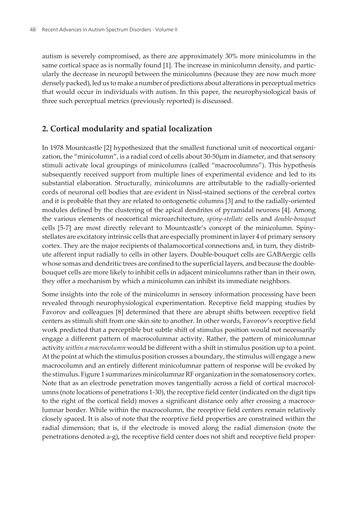autism is severely compromised, as there are approximately 30% more minicolumns in the same cortical space as is normally found [[1](#page-17-0)]. The increase in minicolumn density, and particularly the decrease in neuropil between the minicolumns (because they are now much more densely packed), led us to make a number of predictions about alterations in perceptual metrics that would occur in individuals with autism. In this paper, the neurophysiological basis of three such perceptual metrics (previously reported) is discussed.

#### **2. Cortical modularity and spatial localization**

In 1978 Mountcastle [[2](#page-17-0)] hypothesized that the smallest functional unit of neocortical organization, the "minicolumn", is a radial cord of cells about 30-50μm in diameter, and that sensory stimuli activate local groupings of minicolumns (called "macrocolumns"). This hypothesis subsequently received support from multiple lines of experimental evidence and led to its substantial elaboration. Structurally, minicolumns are attributable to the radially-oriented cords of neuronal cell bodies that are evident in Nissl-stained sections of the cerebral cortex and it is probable that they are related to ontogenetic columns [[3](#page-17-0)] and to the radially-oriented modules defined by the clustering of the apical dendrites of pyramidal neurons [[4](#page-17-0)]. Among the various elements of neocortical microarchitecture, *spiny-stellate* cells and *double-bouquet* cells [[5-7\]](#page-17-0) are most directly relevant to Mountcastle's concept of the minicolumn. Spinystellates are excitatory intrinsic cells that are especially prominent in layer 4 of primary sensory cortex. They are the major recipients of thalamocortical connections and, in turn, they distribute afferent input radially to cells in other layers. Double-bouquet cells are GABAergic cells whose somas and dendritic trees are confined to the superficial layers, and because the doublebouquet cells are more likely to inhibit cells in adjacent minicolumns rather than in their own, they offer a mechanism by which a minicolumn can inhibit its immediate neighbors.

Some insights into the role of the minicolumn in sensory information processing have been revealed through neurophysiological experimentation. Receptive field mapping studies by Favorov and colleagues [[8](#page-17-0)] determined that there are abrupt shifts between receptive field centers as stimuli shift from one skin site to another. In other words, Favorov's receptive field work predicted that a perceptible but subtle shift of stimulus position would not necessarily engage a different pattern of macrocolumnar activity. Rather, the pattern of minicolumnar activity *within a macrocolumn* would be different with a shift in stimulus position up to a point. At the point at which the stimulus position crosses a boundary, the stimulus will engage a new macrocolumn and an entirely different minicolumnar pattern of response will be evoked by the stimulus. [Figure 1](#page-2-0) summarizes minicolumnar RF organization in the somatosensory cortex. Note that as an electrode penetration moves tangentially across a field of cortical macrocolumns (note locations of penetrations 1-30), the receptive field center (indicated on the digit tips to the right of the cortical field) moves a significant distance only after crossing a macrocolumnar border. While within the macrocolumn, the receptive field centers remain relatively closely spaced. It is also of note that the receptive field properties are constrained within the radial dimension; that is, if the electrode is moved along the radial dimension (note the penetrations denoted a-g), the receptive field center does not shift and receptive field proper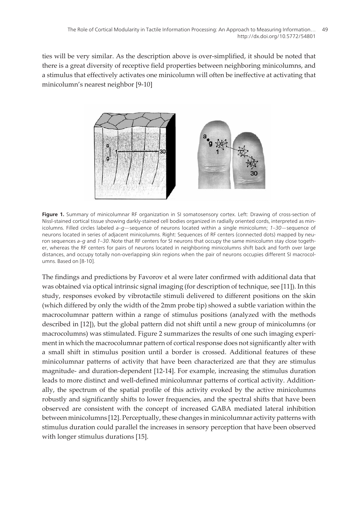<span id="page-2-0"></span>ties will be very similar. As the description above is over-simplified, it should be noted that there is a great diversity of receptive field properties between neighboring minicolumns, and a stimulus that effectively activates one minicolumn will often be ineffective at activating that minicolumn's nearest neighbor [[9-10](#page-17-0)]



**Figure 1.** Summary of minicolumnar RF organization in SI somatosensory cortex. Left: Drawing of cross-section of Nissl-stained cortical tissue showing darkly-stained cell bodies organized in radially oriented cords, interpreted as min‐ icolumns. Filled circles labeled a-g-sequence of neurons located within a single minicolumn; 1-30-sequence of neurons located in series of adjacent minicolumns. Right: Sequences of RF centers (connected dots) mapped by neuron sequences  $a-g$  and  $1-30$ . Note that RF centers for SI neurons that occupy the same minicolumn stay close together, whereas the RF centers for pairs of neurons located in neighboring minicolumns shift back and forth over large distances, and occupy totally non-overlapping skin regions when the pair of neurons occupies different SI macrocolumns. Based on [[8-10\]](#page-17-0).

The findings and predictions by Favorov et al were later confirmed with additional data that was obtained via optical intrinsic signal imaging (for description of technique, see [[11\]](#page-17-0)). In this study, responses evoked by vibrotactile stimuli delivered to different positions on the skin (which differed by only the width of the 2mm probe tip) showed a subtle variation within the macrocolumnar pattern within a range of stimulus positions (analyzed with the methods described in [\[12](#page-17-0)]), but the global pattern did not shift until a new group of minicolumns (or macrocolumns) was stimulated. [Figure 2](#page-3-0) summarizes the results of one such imaging experi‐ ment in which the macrocolumnar pattern of cortical response does not significantly alter with a small shift in stimulus position until a border is crossed. Additional features of these minicolumnar patterns of activity that have been characterized are that they are stimulus magnitude- and duration-dependent [\[12-14](#page-17-0)]. For example, increasing the stimulus duration leads to more distinct and well-defined minicolumnar patterns of cortical activity. Addition‐ ally, the spectrum of the spatial profile of this activity evoked by the active minicolumns robustly and significantly shifts to lower frequencies, and the spectral shifts that have been observed are consistent with the concept of increased GABA mediated lateral inhibition between minicolumns [[12\]](#page-17-0). Perceptually, these changes in minicolumnar activity patterns with stimulus duration could parallel the increases in sensory perception that have been observed with longer stimulus durations [[15\]](#page-17-0).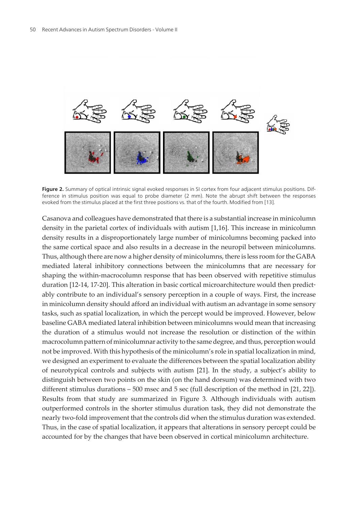<span id="page-3-0"></span>

**Figure 2.** Summary of optical intrinsic signal evoked responses in SI cortex from four adjacent stimulus positions. Dif‐ ference in stimulus position was equal to probe diameter (2 mm). Note the abrupt shift between the responses evoked from the stimulus placed at the first three positions vs. that of the fourth. Modified from [\[13](#page-17-0)].

Casanova and colleagues have demonstrated that there is a substantial increase in minicolumn density in the parietal cortex of individuals with autism [\[1](#page-17-0)[,16](#page-18-0)]. This increase in minicolumn density results in a disproportionately large number of minicolumns becoming packed into the same cortical space and also results in a decrease in the neuropil between minicolumns. Thus, although there are now a higher density of minicolumns, there is less room for the GABA mediated lateral inhibitory connections between the minicolumns that are necessary for shaping the within-macrocolumn response that has been observed with repetitive stimulus duration [[12-14,](#page-17-0) [17-20\]](#page-18-0). This alteration in basic cortical microarchitecture would then predictably contribute to an individual's sensory perception in a couple of ways. First, the increase in minicolumn density should afford an individual with autism an advantage in some sensory tasks, such as spatial localization, in which the percept would be improved. However, below baseline GABA mediated lateral inhibition between minicolumns would mean that increasing the duration of a stimulus would not increase the resolution or distinction of the within macrocolumn pattern of minicolumnar activity to the same degree, and thus, perception would not be improved. With this hypothesis of the minicolumn's role in spatial localization in mind, we designed an experiment to evaluate the differences between the spatial localization ability of neurotypical controls and subjects with autism [\[21](#page-18-0)]. In the study, a subject's ability to distinguish between two points on the skin (on the hand dorsum) was determined with two different stimulus durations – 500 msec and 5 sec (full description of the method in [\[21](#page-18-0), [22\]](#page-18-0)). Results from that study are summarized in [Figure 3.](#page-4-0) Although individuals with autism outperformed controls in the shorter stimulus duration task, they did not demonstrate the nearly two-fold improvement that the controls did when the stimulus duration was extended. Thus, in the case of spatial localization, it appears that alterations in sensory percept could be accounted for by the changes that have been observed in cortical minicolumn architecture.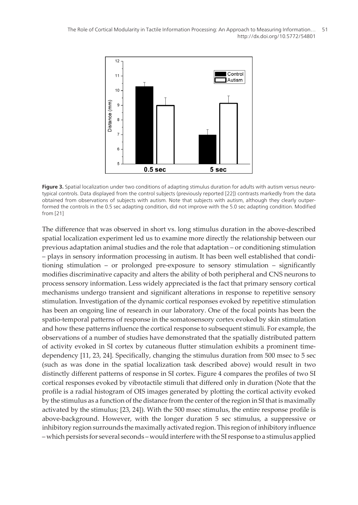<span id="page-4-0"></span>The Role of Cortical Modularity in Tactile Information Processing: An Approach to Measuring Information… http://dx.doi.org/10.5772/54801 51



**Figure 3.** Spatial localization under two conditions of adapting stimulus duration for adults with autism versus neurotypical controls. Data displayed from the control subjects (previously reported [\[22](#page-18-0)]) contrasts markedly from the data obtained from observations of subjects with autism. Note that subjects with autism, although they clearly outper‐ formed the controls in the 0.5 sec adapting condition, did not improve with the 5.0 sec adapting condition. Modified from [[21\]](#page-18-0)

The difference that was observed in short vs. long stimulus duration in the above-described spatial localization experiment led us to examine more directly the relationship between our previous adaptation animal studies and the role that adaptation – or conditioning stimulation – plays in sensory information processing in autism. It has been well established that condi‐ tioning stimulation – or prolonged pre-exposure to sensory stimulation – significantly modifies discriminative capacity and alters the ability of both peripheral and CNS neurons to process sensory information. Less widely appreciated is the fact that primary sensory cortical mechanisms undergo transient and significant alterations in response to repetitive sensory stimulation. Investigation of the dynamic cortical responses evoked by repetitive stimulation has been an ongoing line of research in our laboratory. One of the focal points has been the spatio-temporal patterns of response in the somatosensory cortex evoked by skin stimulation and how these patterns influence the cortical response to subsequent stimuli. For example, the observations of a number of studies have demonstrated that the spatially distributed pattern of activity evoked in SI cortex by cutaneous flutter stimulation exhibits a prominent timedependency [\[11](#page-17-0), [23,](#page-18-0) [24\]](#page-18-0). Specifically, changing the stimulus duration from 500 msec to 5 sec (such as was done in the spatial localization task described above) would result in two distinctly different patterns of response in SI cortex. [Figure 4](#page-5-0) compares the profiles of two SI cortical responses evoked by vibrotactile stimuli that differed only in duration (Note that the profile is a radial histogram of OIS images generated by plotting the cortical activity evoked by the stimulus as a function of the distance from the center of the region in SI that is maximally activated by the stimulus; [[23, 24](#page-18-0)]). With the 500 msec stimulus, the entire response profile is above-background. However, with the longer duration 5 sec stimulus, a suppressive or inhibitory region surrounds the maximally activated region. This region of inhibitory influence – which persists for several seconds – would interfere with the SI response to a stimulus applied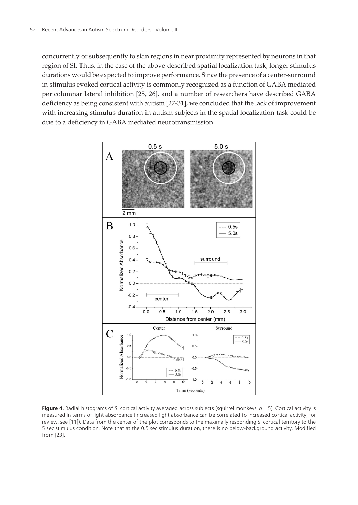<span id="page-5-0"></span>concurrently or subsequently to skin regions in near proximity represented by neurons in that region of SI. Thus, in the case of the above-described spatial localization task, longer stimulus durations would be expected to improve performance. Since the presence of a center-surround in stimulus evoked cortical activity is commonly recognized as a function of GABA mediated pericolumnar lateral inhibition [\[25](#page-18-0), [26](#page-18-0)], and a number of researchers have described GABA deficiency as being consistent with autism [[27-](#page-18-0)[31\]](#page-19-0), we concluded that the lack of improvement with increasing stimulus duration in autism subjects in the spatial localization task could be due to a deficiency in GABA mediated neurotransmission.



**Figure 4.** Radial histograms of SI cortical activity averaged across subjects (squirrel monkeys,  $n = 5$ ). Cortical activity is measured in terms of light absorbance (increased light absorbance can be correlated to increased cortical activity, for review, see [\[11\]](#page-17-0)). Data from the center of the plot corresponds to the maximally responding SI cortical territory to the 5 sec stimulus condition. Note that at the 0.5 sec stimulus duration, there is no below-background activity. Modified from [[23\]](#page-18-0).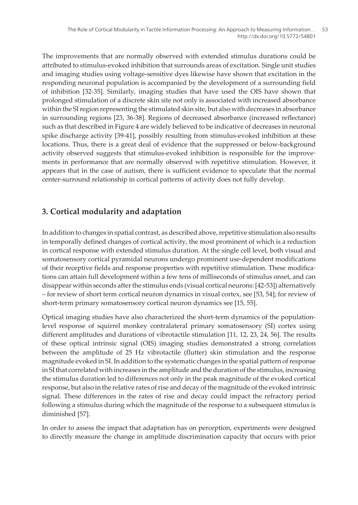The improvements that are normally observed with extended stimulus durations could be attributed to stimulus-evoked inhibition that surrounds areas of excitation. Single unit studies and imaging studies using voltage-sensitive dyes likewise have shown that excitation in the responding neuronal population is accompanied by the development of a surrounding field of inhibition [\[32-35](#page-19-0)]. Similarly, imaging studies that have used the OIS have shown that prolonged stimulation of a discrete skin site not only is associated with increased absorbance within the SI region representing the stimulated skin site, but also with decreases in absorbance in surrounding regions [\[23](#page-18-0), [36-38](#page-19-0)]. Regions of decreased absorbance (increased reflectance) such as that described in [Figure 4](#page-5-0) are widely believed to be indicative of decreases in neuronal spike discharge activity [\[39-41](#page-19-0)], possibly resulting from stimulus-evoked inhibition at these locations. Thus, there is a great deal of evidence that the suppressed or below-background activity observed suggests that stimulus-evoked inhibition is responsible for the improve‐ ments in performance that are normally observed with repetitive stimulation. However, it appears that in the case of autism, there is sufficient evidence to speculate that the normal center-surround relationship in cortical patterns of activity does not fully develop.

# **3. Cortical modularity and adaptation**

In addition to changes in spatial contrast, as described above, repetitive stimulation also results in temporally defined changes of cortical activity, the most prominent of which is a reduction in cortical response with extended stimulus duration. At the single cell level, both visual and somatosensory cortical pyramidal neurons undergo prominent use-dependent modifications of their receptive fields and response properties with repetitive stimulation. These modifica‐ tions can attain full development within a few tens of milliseconds of stimulus onset, and can disappear within seconds after the stimulus ends (visual cortical neurons: [[42-53\]](#page-20-0)) alternatively – for review of short term cortical neuron dynamics in visual cortex, see [[53, 54\]](#page-20-0); for review of short-term primary somatosensory cortical neuron dynamics see [[15,](#page-17-0) [55](#page-20-0)].

Optical imaging studies have also characterized the short-term dynamics of the populationlevel response of squirrel monkey contralateral primary somatosensory (SI) cortex using different amplitudes and durations of vibrotactile stimulation [\[11](#page-17-0), [12](#page-17-0), [23,](#page-18-0) [24,](#page-18-0) [56](#page-21-0)]. The results of these optical intrinsic signal (OIS) imaging studies demonstrated a strong correlation between the amplitude of 25 Hz vibrotactile (flutter) skin stimulation and the response magnitude evoked in SI. In addition to the systematic changes in the spatial pattern of response in SI that correlated with increases in the amplitude and the duration of the stimulus, increasing the stimulus duration led to differences not only in the peak magnitude of the evoked cortical response, but also in the relative rates of rise and decay of the magnitude of the evoked intrinsic signal. These differences in the rates of rise and decay could impact the refractory period following a stimulus during which the magnitude of the response to a subsequent stimulus is diminished [\[57](#page-21-0)].

In order to assess the impact that adaptation has on perception, experiments were designed to directly measure the change in amplitude discrimination capacity that occurs with prior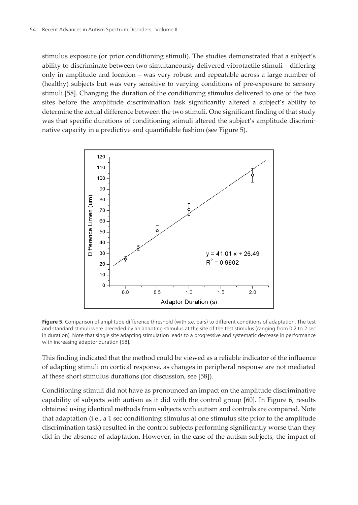stimulus exposure (or prior conditioning stimuli). The studies demonstrated that a subject's ability to discriminate between two simultaneously delivered vibrotactile stimuli – differing only in amplitude and location – was very robust and repeatable across a large number of (healthy) subjects but was very sensitive to varying conditions of pre-exposure to sensory stimuli [[58](#page-21-0)]. Changing the duration of the conditioning stimulus delivered to one of the two sites before the amplitude discrimination task significantly altered a subject's ability to determine the actual difference between the two stimuli. One significant finding of that study was that specific durations of conditioning stimuli altered the subject's amplitude discriminative capacity in a predictive and quantifiable fashion (see Figure 5).



**Figure 5.** Comparison of amplitude difference threshold (with s.e. bars) to different conditions of adaptation. The test and standard stimuli were preceded by an adapting stimulus at the site of the test stimulus (ranging from 0.2 to 2 sec in duration). Note that single site adapting stimulation leads to a progressive and systematic decrease in performance with increasing adaptor duration [[58\]](#page-21-0).

This finding indicated that the method could be viewed as a reliable indicator of the influence of adapting stimuli on cortical response, as changes in peripheral response are not mediated at these short stimulus durations (for discussion, see [\[58](#page-21-0)]).

Conditioning stimuli did not have as pronounced an impact on the amplitude discriminative capability of subjects with autism as it did with the control group [\[60](#page-21-0)]. In [Figure 6](#page-8-0), results obtained using identical methods from subjects with autism and controls are compared. Note that adaptation (i.e., a 1 sec conditioning stimulus at one stimulus site prior to the amplitude discrimination task) resulted in the control subjects performing significantly worse than they did in the absence of adaptation. However, in the case of the autism subjects, the impact of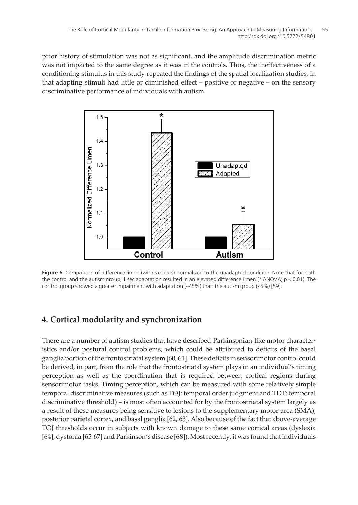<span id="page-8-0"></span>prior history of stimulation was not as significant, and the amplitude discrimination metric was not impacted to the same degree as it was in the controls. Thus, the ineffectiveness of a conditioning stimulus in this study repeated the findings of the spatial localization studies, in that adapting stimuli had little or diminished effect – positive or negative – on the sensory discriminative performance of individuals with autism.



**Figure 6.** Comparison of difference limen (with s.e. bars) normalized to the unadapted condition. Note that for both the control and the autism group, 1 sec adaptation resulted in an elevated difference limen (\* ANOVA;  $p < 0.01$ ). The control group showed a greater impairment with adaptation (~45%) than the autism group (~5%) [[59\]](#page-21-0).

# **4. Cortical modularity and synchronization**

There are a number of autism studies that have described Parkinsonian-like motor character‐ istics and/or postural control problems, which could be attributed to deficits of the basal ganglia portion of the frontostriatal system [\[60](#page-21-0), [61\]](#page-21-0). These deficits in sensorimotor control could be derived, in part, from the role that the frontostriatal system plays in an individual's timing perception as well as the coordination that is required between cortical regions during sensorimotor tasks. Timing perception, which can be measured with some relatively simple temporal discriminative measures (such as TOJ: temporal order judgment and TDT: temporal discriminative threshold) – is most often accounted for by the frontostriatal system largely as a result of these measures being sensitive to lesions to the supplementary motor area (SMA), posterior parietal cortex, and basal ganglia [\[62](#page-21-0), [63\]](#page-21-0). Also because of the fact that above-average TOJ thresholds occur in subjects with known damage to these same cortical areas (dyslexia [[64\]](#page-21-0), dystonia [\[65-67](#page-21-0)] and Parkinson's disease [\[68](#page-21-0)]). Most recently, it was found that individuals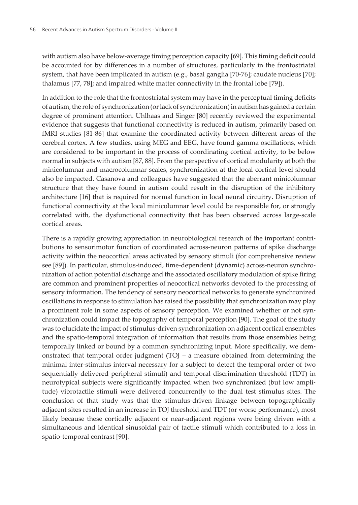with autism also have below-average timing perception capacity [[69\]](#page-22-0). This timing deficit could be accounted for by differences in a number of structures, particularly in the frontostriatal system, that have been implicated in autism (e.g., basal ganglia [[70-76\]](#page-22-0); caudate nucleus [[70\]](#page-22-0); thalamus [[77, 78](#page-22-0)]; and impaired white matter connectivity in the frontal lobe [\[79](#page-22-0)]).

In addition to the role that the frontostriatal system may have in the perceptual timing deficits of autism, the role of synchronization (or lack of synchronization) in autism has gained a certain degree of prominent attention. Uhlhaas and Singer [[80\]](#page-22-0) recently reviewed the experimental evidence that suggests that functional connectivity is reduced in autism, primarily based on fMRI studies [\[81](#page-22-0)[-86](#page-23-0)] that examine the coordinated activity between different areas of the cerebral cortex. A few studies, using MEG and EEG, have found gamma oscillations, which are considered to be important in the process of coordinating cortical activity, to be below normal in subjects with autism [\[87](#page-23-0), [88](#page-23-0)]. From the perspective of cortical modularity at both the minicolumnar and macrocolumnar scales, synchronization at the local cortical level should also be impacted. Casanova and colleagues have suggested that the aberrant minicolumnar structure that they have found in autism could result in the disruption of the inhibitory architecture [[16\]](#page-18-0) that is required for normal function in local neural circuitry. Disruption of functional connectivity at the local minicolumnar level could be responsible for, or strongly correlated with, the dysfunctional connectivity that has been observed across large-scale cortical areas.

There is a rapidly growing appreciation in neurobiological research of the important contributions to sensorimotor function of coordinated across-neuron patterns of spike discharge activity within the neocortical areas activated by sensory stimuli (for comprehensive review see [\[89](#page-23-0)]). In particular, stimulus-induced, time-dependent (dynamic) across-neuron synchronization of action potential discharge and the associated oscillatory modulation of spike firing are common and prominent properties of neocortical networks devoted to the processing of sensory information. The tendency of sensory neocortical networks to generate synchronized oscillations in response to stimulation has raised the possibility that synchronization may play a prominent role in some aspects of sensory perception. We examined whether or not synchronization could impact the topography of temporal perception [\[90](#page-23-0)]. The goal of the study was to elucidate the impact of stimulus-driven synchronization on adjacent cortical ensembles and the spatio-temporal integration of information that results from those ensembles being temporally linked or bound by a common synchronizing input. More specifically, we demonstrated that temporal order judgment (TOJ – a measure obtained from determining the minimal inter-stimulus interval necessary for a subject to detect the temporal order of two sequentially delivered peripheral stimuli) and temporal discrimination threshold (TDT) in neurotypical subjects were significantly impacted when two synchronized (but low ampli‐ tude) vibrotactile stimuli were delivered concurrently to the dual test stimulus sites. The conclusion of that study was that the stimulus-driven linkage between topographically adjacent sites resulted in an increase in TOJ threshold and TDT (or worse performance), most likely because these cortically adjacent or near-adjacent regions were being driven with a simultaneous and identical sinusoidal pair of tactile stimuli which contributed to a loss in spatio-temporal contrast [\[90](#page-23-0)].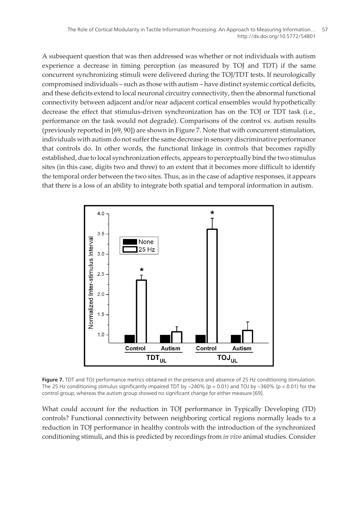A subsequent question that was then addressed was whether or not individuals with autism experience a decrease in timing perception (as measured by TOJ and TDT) if the same concurrent synchronizing stimuli were delivered during the TOJ/TDT tests. If neurologically compromised individuals – such as those with autism – have distinct systemic cortical deficits, and these deficits extend to local neuronal circuitry connectivity, then the abnormal functional connectivity between adjacent and/or near adjacent cortical ensembles would hypothetically decrease the effect that stimulus-driven synchronization has on the TOJ or TDT task (i.e., performance on the task would not degrade). Comparisons of the control vs. autism results (previously reported in [[69,](#page-22-0) [90\]](#page-23-0)) are shown in Figure 7. Note that with concurrent stimulation, individuals with autism do not suffer the same decrease in sensory discriminative performance that controls do. In other words, the functional linkage in controls that becomes rapidly established, due to local synchronization effects, appears to perceptually bind the two stimulus sites (in this case, digits two and three) to an extent that it becomes more difficult to identify the temporal order between the two sites. Thus, as in the case of adaptive responses, it appears that there is a loss of an ability to integrate both spatial and temporal information in autism.



**Figure 7.** TDT and TOJ performance metrics obtained in the presence and absence of 25 Hz conditioning stimulation. The 25 Hz conditioning stimulus significantly impaired TDT by ~240% ( $p < 0.01$ ) and TOJ by ~360% ( $p < 0.01$ ) for the control group, whereas the autism group showed no significant change for either measure [\[69](#page-22-0)].

What could account for the reduction in TOJ performance in Typically Developing (TD) controls? Functional connectivity between neighboring cortical regions normally leads to a reduction in TOJ performance in healthy controls with the introduction of the synchronized conditioning stimuli, and this is predicted by recordings from *in vivo* animal studies. Consider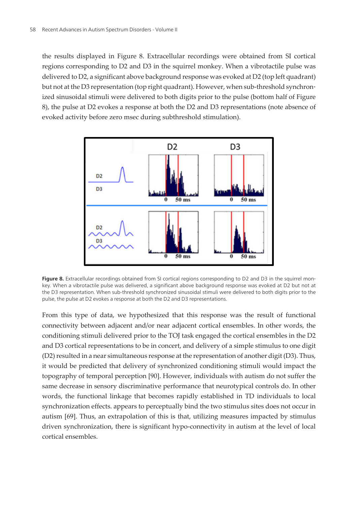the results displayed in Figure 8. Extracellular recordings were obtained from SI cortical regions corresponding to D2 and D3 in the squirrel monkey. When a vibrotactile pulse was delivered to D2, a significant above background response was evoked at D2 (top left quadrant) but not at the D3 representation (top right quadrant). However, when sub-threshold synchronized sinusoidal stimuli were delivered to both digits prior to the pulse (bottom half of Figure 8), the pulse at D2 evokes a response at both the D2 and D3 representations (note absence of evoked activity before zero msec during subthreshold stimulation).



Figure 8. Extracellular recordings obtained from SI cortical regions corresponding to D2 and D3 in the squirrel monkey. When a vibrotactile pulse was delivered, a significant above background response was evoked at D2 but not at the D3 representation. When sub-threshold synchronized sinusoidal stimuli were delivered to both digits prior to the pulse, the pulse at D2 evokes a response at both the D2 and D3 representations.

From this type of data, we hypothesized that this response was the result of functional connectivity between adjacent and/or near adjacent cortical ensembles. In other words, the conditioning stimuli delivered prior to the TOJ task engaged the cortical ensembles in the D2 and D3 cortical representations to be in concert, and delivery of a simple stimulus to one digit (D2) resulted in a near simultaneous response at the representation of another digit (D3). Thus, it would be predicted that delivery of synchronized conditioning stimuli would impact the topography of temporal perception [[90\]](#page-23-0). However, individuals with autism do not suffer the same decrease in sensory discriminative performance that neurotypical controls do. In other words, the functional linkage that becomes rapidly established in TD individuals to local synchronization effects. appears to perceptually bind the two stimulus sites does not occur in autism [[69\]](#page-22-0). Thus, an extrapolation of this is that, utilizing measures impacted by stimulus driven synchronization, there is significant hypo-connectivity in autism at the level of local cortical ensembles.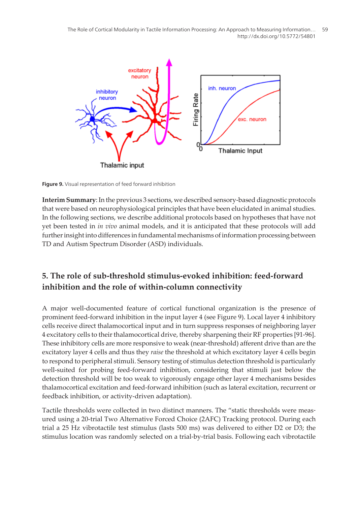The Role of Cortical Modularity in Tactile Information Processing: An Approach to Measuring Information… http://dx.doi.org/10.5772/54801 59



**Figure 9.** Visual representation of feed forward inhibition

**Interim Summary**: In the previous 3 sections, we described sensory-based diagnostic protocols that were based on neurophysiological principles that have been elucidated in animal studies. In the following sections, we describe additional protocols based on hypotheses that have not yet been tested in *in vivo* animal models, and it is anticipated that these protocols will add further insight into differences in fundamental mechanisms of information processing between TD and Autism Spectrum Disorder (ASD) individuals.

# **5. The role of sub-threshold stimulus-evoked inhibition: feed-forward inhibition and the role of within-column connectivity**

A major well-documented feature of cortical functional organization is the presence of prominent feed-forward inhibition in the input layer 4 (see Figure 9). Local layer 4 inhibitory cells receive direct thalamocortical input and in turn suppress responses of neighboring layer 4 excitatory cells to their thalamocortical drive, thereby sharpening their RF properties [[91-](#page-23-0)[96\]](#page-24-0). These inhibitory cells are more responsive to weak (near-threshold) afferent drive than are the excitatory layer 4 cells and thus they *raise* the threshold at which excitatory layer 4 cells begin to respond to peripheral stimuli. Sensory testing of stimulus detection threshold is particularly well-suited for probing feed-forward inhibition, considering that stimuli just below the detection threshold will be too weak to vigorously engage other layer 4 mechanisms besides thalamocortical excitation and feed-forward inhibition (such as lateral excitation, recurrent or feedback inhibition, or activity-driven adaptation).

Tactile thresholds were collected in two distinct manners. The "static thresholds were meas‐ ured using a 20-trial Two Alternative Forced Choice (2AFC) Tracking protocol. During each trial a 25 Hz vibrotactile test stimulus (lasts 500 ms) was delivered to either D2 or D3; the stimulus location was randomly selected on a trial-by-trial basis. Following each vibrotactile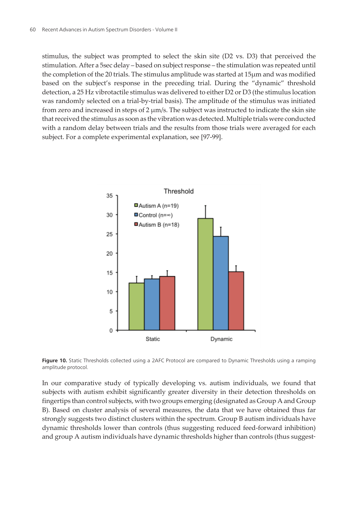<span id="page-13-0"></span>stimulus, the subject was prompted to select the skin site (D2 vs. D3) that perceived the stimulation. After a 5sec delay – based on subject response – the stimulation was repeated until the completion of the 20 trials. The stimulus amplitude was started at 15μm and was modified based on the subject's response in the preceding trial. During the "dynamic" threshold detection, a 25 Hz vibrotactile stimulus was delivered to either D2 or D3 (the stimulus location was randomly selected on a trial-by-trial basis). The amplitude of the stimulus was initiated from zero and increased in steps of 2 μm/s. The subject was instructed to indicate the skin site that received the stimulus as soon as the vibration was detected. Multiple trials were conducted with a random delay between trials and the results from those trials were averaged for each subject. For a complete experimental explanation, see [[97-99\]](#page-24-0).



**Figure 10.** Static Thresholds collected using a 2AFC Protocol are compared to Dynamic Thresholds using a ramping amplitude protocol.

In our comparative study of typically developing vs. autism individuals, we found that subjects with autism exhibit significantly greater diversity in their detection thresholds on fingertips than control subjects, with two groups emerging (designated as Group A and Group B). Based on cluster analysis of several measures, the data that we have obtained thus far strongly suggests two distinct clusters within the spectrum. Group B autism individuals have dynamic thresholds lower than controls (thus suggesting reduced feed-forward inhibition) and group A autism individuals have dynamic thresholds higher than controls (thus suggest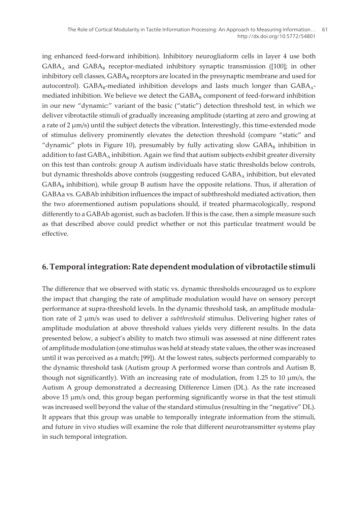ing enhanced feed-forward inhibition). Inhibitory neurogliaform cells in layer 4 use both  $\mathsf{GABA}_\mathsf{A}$  and  $\mathsf{GABA}_\mathsf{B}$  receptor-mediated inhibitory synaptic transmission ([\[100\]](#page-24-0); in other inhibitory cell classes,  $\mathsf{GABA}_\mathtt{B}$  receptors are located in the presynaptic membrane and used for autocontrol).  $\mathsf{GABA}_\mathtt{B}\text{-}\mathsf{mediated}$  inhibition develops and lasts much longer than  $\mathsf{GABA}_\mathtt{A}\text{-}$ mediated inhibition. We believe we detect the  $\mathsf{GABA}_\mathtt{B}$  component of feed-forward inhibition in our new "dynamic:" variant of the basic ("static") detection threshold test, in which we deliver vibrotactile stimuli of gradually increasing amplitude (starting at zero and growing at a rate of 2 μm/s) until the subject detects the vibration. Interestingly, this time-extended mode of stimulus delivery prominently elevates the detection threshold (compare "static" and "dynamic" plots in [Figure 10\)](#page-13-0), presumably by fully activating slow  $\rm{GABA_B}$  inhibition in addition to fast  $GABA_A$  inhibition. Again we find that autism subjects exhibit greater diversity on this test than controls: group A autism individuals have static thresholds below controls, but dynamic thresholds above controls (suggesting reduced  $GABA_A$  inhibition, but elevated  $\mathsf{GABA}_\mathtt{B}$  inhibition), while group B autism have the opposite relations. Thus, if alteration of GABAa vs. GABAb inhibition influences the impact of subthreshold mediated activation, then the two aforementioned autism populations should, if treated pharmacologically, respond differently to a GABAb agonist, such as baclofen. If this is the case, then a simple measure such as that described above could predict whether or not this particular treatment would be effective.

#### **6. Temporal integration: Rate dependent modulation of vibrotactile stimuli**

The difference that we observed with static vs. dynamic thresholds encouraged us to explore the impact that changing the rate of amplitude modulation would have on sensory percept performance at supra-threshold levels. In the dynamic threshold task, an amplitude modula‐ tion rate of 2 μm/s was used to deliver a *subthreshold* stimulus. Delivering higher rates of amplitude modulation at above threshold values yields very different results. In the data presented below, a subject's ability to match two stimuli was assessed at nine different rates of amplitude modulation (one stimulus was held at steady state values, the other was increased until it was perceived as a match; [[99\]](#page-24-0)). At the lowest rates, subjects performed comparably to the dynamic threshold task (Autism group A performed worse than controls and Autism B, though not significantly). With an increasing rate of modulation, from 1.25 to 10 μm/s, the Autism A group demonstrated a decreasing Difference Limen (DL). As the rate increased above 15 μm/s ond, this group began performing significantly worse in that the test stimuli was increased well beyond the value of the standard stimulus (resulting in the "negative" DL). It appears that this group was unable to temporally integrate information from the stimuli, and future in vivo studies will examine the role that different neurotransmitter systems play in such temporal integration.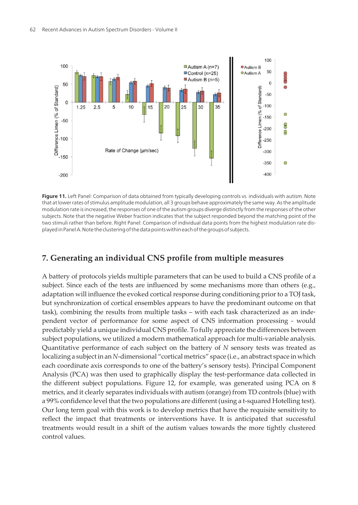

**Figure 11.** Left Panel: Comparison of data obtained from typically developing controls vs. individuals with autism. Note that at lower rates of stimulus amplitude modulation, all 3 groups behave approximately the same way. As the amplitude modulation rate is increased, the responses of one of the autism groups diverge distinctly from the responses of the other subjects. Note that the negative Weber fraction indicates that the subject responded beyond the matching point of the two stimuli rather than before. Right Panel: Comparison of individual data points from the highest modulation rate dis‐ played in Panel A. Note the clustering of the data points within each of the groups of subjects.

# **7. Generating an individual CNS profile from multiple measures**

A battery of protocols yields multiple parameters that can be used to build a CNS profile of a subject. Since each of the tests are influenced by some mechanisms more than others (e.g., adaptation will influence the evoked cortical response during conditioning prior to a TOJ task, but synchronization of cortical ensembles appears to have the predominant outcome on that task), combining the results from multiple tasks – with each task characterized as an inde‐ pendent vector of performance for some aspect of CNS information processing - would predictably yield a unique individual CNS profile. To fully appreciate the differences between subject populations, we utilized a modern mathematical approach for multi-variable analysis. Quantitative performance of each subject on the battery of *N* sensory tests was treated as localizing a subject in an *N*-dimensional "cortical metrics" space (i.e., an abstract space in which each coordinate axis corresponds to one of the battery's sensory tests). Principal Component Analysis (PCA) was then used to graphically display the test-performance data collected in the different subject populations. [Figure 12,](#page-16-0) for example, was generated using PCA on 8 metrics, and it clearly separates individuals with autism (orange) from TD controls (blue) with a 99% confidence level that the two populations are different (using a t-squared Hotelling test). Our long term goal with this work is to develop metrics that have the requisite sensitivity to reflect the impact that treatments or interventions have. It is anticipated that successful treatments would result in a shift of the autism values towards the more tightly clustered control values.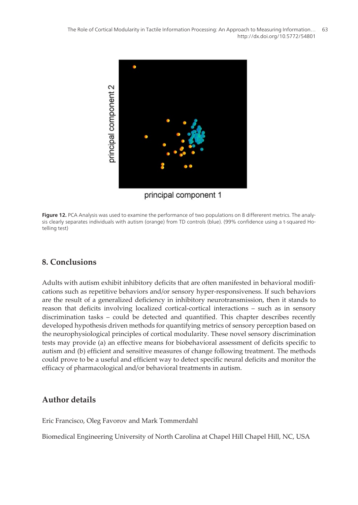<span id="page-16-0"></span>

**Figure 12.** PCA Analysis was used to examine the performance of two populations on 8 differerent metrics. The analy‐ sis clearly separates individuals with autism (orange) from TD controls (blue). (99% confidence using a t-squared Hotelling test)

# **8. Conclusions**

Adults with autism exhibit inhibitory deficits that are often manifested in behavioral modifi‐ cations such as repetitive behaviors and/or sensory hyper-responsiveness. If such behaviors are the result of a generalized deficiency in inhibitory neurotransmission, then it stands to reason that deficits involving localized cortical-cortical interactions – such as in sensory discrimination tasks – could be detected and quantified. This chapter describes recently developed hypothesis driven methods for quantifying metrics of sensory perception based on the neurophysiological principles of cortical modularity. These novel sensory discrimination tests may provide (a) an effective means for biobehavioral assessment of deficits specific to autism and (b) efficient and sensitive measures of change following treatment. The methods could prove to be a useful and efficient way to detect specific neural deficits and monitor the efficacy of pharmacological and/or behavioral treatments in autism.

# **Author details**

Eric Francisco, Oleg Favorov and Mark Tommerdahl

Biomedical Engineering University of North Carolina at Chapel Hill Chapel Hill, NC, USA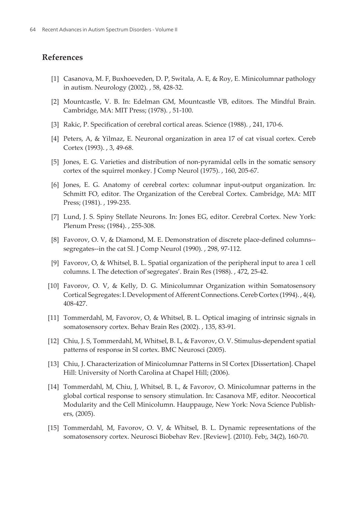#### <span id="page-17-0"></span>**References**

- [1] Casanova, M. F, Buxhoeveden, D. P, Switala, A. E, & Roy, E. Minicolumnar pathology in autism. Neurology (2002). , 58, 428-32.
- [2] Mountcastle, V. B. In: Edelman GM, Mountcastle VB, editors. The Mindful Brain. Cambridge, MA: MIT Press; (1978). , 51-100.
- [3] Rakic, P. Specification of cerebral cortical areas. Science (1988). , 241, 170-6.
- [4] Peters, A, & Yilmaz, E. Neuronal organization in area 17 of cat visual cortex. Cereb Cortex (1993). , 3, 49-68.
- [5] Jones, E. G. Varieties and distribution of non-pyramidal cells in the somatic sensory cortex of the squirrel monkey. J Comp Neurol (1975). , 160, 205-67.
- [6] Jones, E. G. Anatomy of cerebral cortex: columnar input-output organization. In: Schmitt FO, editor. The Organization of the Cerebral Cortex. Cambridge, MA: MIT Press; (1981)., 199-235.
- [7] Lund, J. S. Spiny Stellate Neurons. In: Jones EG, editor. Cerebral Cortex. New York: Plenum Press; (1984). , 255-308.
- [8] Favorov, O. V, & Diamond, M. E. Demonstration of discrete place-defined columns- segregates--in the cat SI. J Comp Neurol (1990). , 298, 97-112.
- [9] Favorov, O, & Whitsel, B. L. Spatial organization of the peripheral input to area 1 cell columns. I. The detection of'segregates'. Brain Res (1988). , 472, 25-42.
- [10] Favorov, O. V, & Kelly, D. G. Minicolumnar Organization within Somatosensory Cortical Segregates: I. Development of Afferent Connections. Cereb Cortex (1994). , 4(4), 408-427.
- [11] Tommerdahl, M, Favorov, O, & Whitsel, B. L. Optical imaging of intrinsic signals in somatosensory cortex. Behav Brain Res (2002). , 135, 83-91.
- [12] Chiu, J. S, Tommerdahl, M, Whitsel, B. L, & Favorov, O. V. Stimulus-dependent spatial patterns of response in SI cortex. BMC Neurosci (2005).
- [13] Chiu, J. Characterization of Minicolumnar Patterns in SI Cortex [Dissertation]. Chapel Hill: University of North Carolina at Chapel Hill; (2006).
- [14] Tommerdahl, M, Chiu, J, Whitsel, B. L, & Favorov, O. Minicolumnar patterns in the global cortical response to sensory stimulation. In: Casanova MF, editor. Neocortical Modularity and the Cell Minicolumn. Hauppauge, New York: Nova Science Publish‐ ers, (2005).
- [15] Tommerdahl, M, Favorov, O. V, & Whitsel, B. L. Dynamic representations of the somatosensory cortex. Neurosci Biobehav Rev. [Review]. (2010). Feb;, 34(2), 160-70.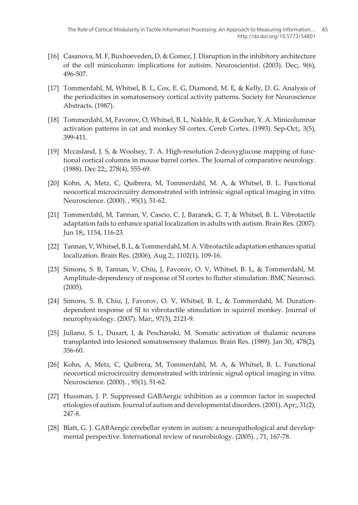- <span id="page-18-0"></span>[16] Casanova, M. F, Buxhoeveden, D, & Gomez, J. Disruption in the inhibitory architecture of the cell minicolumn: implications for autisim. Neuroscientist. (2003). Dec;, 9(6), 496-507.
- [17] Tommerdahl, M, Whitsel, B. L, Cox, E. G, Diamond, M. E, & Kelly, D. G. Analysis of the periodicities in somatosensory cortical activity patterns. Society for Neuroscience Abstracts. (1987).
- [18] Tommerdahl, M, Favorov, O, Whitsel, B. L, Nakhle, B, & Gonchar, Y. A. Minicolumnar activation patterns in cat and monkey SI cortex. Cereb Cortex. (1993). Sep-Oct;, 3(5), 399-411.
- [19] Mccasland, J. S, & Woolsey, T. A. High-resolution 2-deoxyglucose mapping of func‐ tional cortical columns in mouse barrel cortex. The Journal of comparative neurology. (1988). Dec 22;, 278(4), 555-69.
- [20] Kohn, A, Metz, C, Quibrera, M, Tommerdahl, M. A, & Whitsel, B. L. Functional neocortical microcircuitry demonstrated with intrinsic signal optical imaging in vitro. Neuroscience. (2000). , 95(1), 51-62.
- [21] Tommerdahl, M, Tannan, V, Cascio, C. J, Baranek, G. T, & Whitsel, B. L. Vibrotactile adaptation fails to enhance spatial localization in adults with autism. Brain Res. (2007). Jun 18;, 1154, 116-23.
- [22] Tannan, V, Whitsel, B. L, & Tommerdahl, M. A. Vibrotactile adaptation enhances spatial localization. Brain Res. (2006). Aug 2;, 1102(1), 109-16.
- [23] Simons, S. B, Tannan, V, Chiu, J, Favorov, O. V, Whitsel, B. L, & Tommerdahl, M. Amplitude-dependency of response of SI cortex to flutter stimulation. BMC Neurosci. (2005).
- [24] Simons, S. B, Chiu, J, Favorov, O. V, Whitsel, B. L, & Tommerdahl, M. Durationdependent response of SI to vibrotactile stimulation in squirrel monkey. Journal of neurophysiology. (2007). Mar;, 97(3), 2121-9.
- [25] Juliano, S. L, Dusart, I, & Peschanski, M. Somatic activation of thalamic neurons transplanted into lesioned somatosensory thalamus. Brain Res. (1989). Jan 30;, 478(2), 356-60.
- [26] Kohn, A, Metz, C, Quibrera, M, Tommerdahl, M. A, & Whitsel, B. L. Functional neocortical microcircuitry demonstrated with intrinsic signal optical imaging in vitro. Neuroscience. (2000). , 95(1), 51-62.
- [27] Hussman, J. P. Suppressed GABAergic inhibition as a common factor in suspected etiologies of autism. Journal of autism and developmental disorders. (2001). Apr;, 31(2), 247-8.
- [28] Blatt, G. J. GABAergic cerebellar system in autism: a neuropathological and developmental perspective. International review of neurobiology. (2005). , 71, 167-78.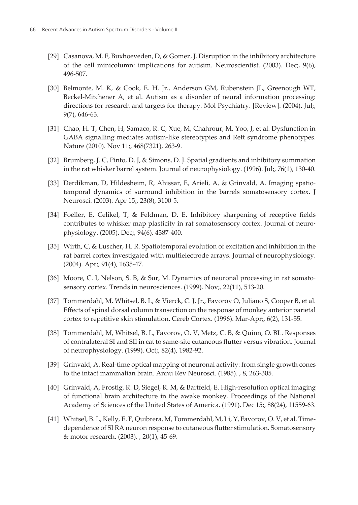- <span id="page-19-0"></span>[29] Casanova, M. F, Buxhoeveden, D, & Gomez, J. Disruption in the inhibitory architecture of the cell minicolumn: implications for autisim. Neuroscientist. (2003). Dec;, 9(6), 496-507.
- [30] Belmonte, M. K, & Cook, E. H. Jr., Anderson GM, Rubenstein JL, Greenough WT, Beckel-Mitchener A, et al. Autism as a disorder of neural information processing: directions for research and targets for therapy. Mol Psychiatry. [Review]. (2004). Jul;, 9(7), 646-63.
- [31] Chao, H. T, Chen, H, Samaco, R. C, Xue, M, Chahrour, M, Yoo, J, et al. Dysfunction in GABA signalling mediates autism-like stereotypies and Rett syndrome phenotypes. Nature (2010). Nov 11;, 468(7321), 263-9.
- [32] Brumberg, J. C, Pinto, D. J, & Simons, D. J. Spatial gradients and inhibitory summation in the rat whisker barrel system. Journal of neurophysiology. (1996). Jul;, 76(1), 130-40.
- [33] Derdikman, D, Hildesheim, R, Ahissar, E, Arieli, A, & Grinvald, A. Imaging spatiotemporal dynamics of surround inhibition in the barrels somatosensory cortex. J Neurosci. (2003). Apr 15;, 23(8), 3100-5.
- [34] Foeller, E, Celikel, T, & Feldman, D. E. Inhibitory sharpening of receptive fields contributes to whisker map plasticity in rat somatosensory cortex. Journal of neuro‐ physiology. (2005). Dec;, 94(6), 4387-400.
- [35] Wirth, C, & Luscher, H. R. Spatiotemporal evolution of excitation and inhibition in the rat barrel cortex investigated with multielectrode arrays. Journal of neurophysiology. (2004). Apr;, 91(4), 1635-47.
- [36] Moore, C. I, Nelson, S. B, & Sur, M. Dynamics of neuronal processing in rat somatosensory cortex. Trends in neurosciences. (1999). Nov;, 22(11), 513-20.
- [37] Tommerdahl, M, Whitsel, B. L, & Vierck, C. J. Jr., Favorov O, Juliano S, Cooper B, et al. Effects of spinal dorsal column transection on the response of monkey anterior parietal cortex to repetitive skin stimulation. Cereb Cortex. (1996). Mar-Apr;, 6(2), 131-55.
- [38] Tommerdahl, M, Whitsel, B. L, Favorov, O. V, Metz, C. B, & Quinn, O. BL. Responses of contralateral SI and SII in cat to same-site cutaneous flutter versus vibration. Journal of neurophysiology. (1999). Oct;, 82(4), 1982-92.
- [39] Grinvald, A. Real-time optical mapping of neuronal activity: from single growth cones to the intact mammalian brain. Annu Rev Neurosci. (1985). , 8, 263-305.
- [40] Grinvald, A, Frostig, R. D, Siegel, R. M, & Bartfeld, E. High-resolution optical imaging of functional brain architecture in the awake monkey. Proceedings of the National Academy of Sciences of the United States of America. (1991). Dec 15;, 88(24), 11559-63.
- [41] Whitsel, B. L, Kelly, E. F, Quibrera, M, Tommerdahl, M, Li, Y, Favorov, O. V, et al. Timedependence of SI RA neuron response to cutaneous flutter stimulation. Somatosensory & motor research. (2003). , 20(1), 45-69.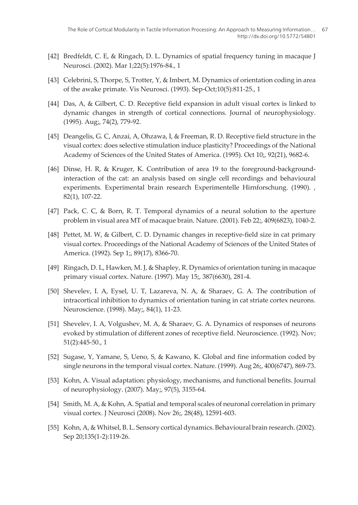- <span id="page-20-0"></span>[42] Bredfeldt, C. E, & Ringach, D. L. Dynamics of spatial frequency tuning in macaque J Neurosci. (2002). Mar 1;22(5):1976-84., 1
- [43] Celebrini, S, Thorpe, S, Trotter, Y, & Imbert, M. Dynamics of orientation coding in area of the awake primate. Vis Neurosci. (1993). Sep-Oct;10(5):811-25., 1
- [44] Das, A, & Gilbert, C. D. Receptive field expansion in adult visual cortex is linked to dynamic changes in strength of cortical connections. Journal of neurophysiology. (1995). Aug;, 74(2), 779-92.
- [45] Deangelis, G. C, Anzai, A, Ohzawa, I, & Freeman, R. D. Receptive field structure in the visual cortex: does selective stimulation induce plasticity? Proceedings of the National Academy of Sciences of the United States of America. (1995). Oct 10;, 92(21), 9682-6.
- [46] Dinse, H. R, & Kruger, K. Contribution of area 19 to the foreground-backgroundinteraction of the cat: an analysis based on single cell recordings and behavioural experiments. Experimental brain research Experimentelle Hirnforschung. (1990). , 82(1), 107-22.
- [47] Pack, C. C, & Born, R. T. Temporal dynamics of a neural solution to the aperture problem in visual area MT of macaque brain. Nature. (2001). Feb 22;, 409(6823), 1040-2.
- [48] Pettet, M. W, & Gilbert, C. D. Dynamic changes in receptive-field size in cat primary visual cortex. Proceedings of the National Academy of Sciences of the United States of America. (1992). Sep 1;, 89(17), 8366-70.
- [49] Ringach, D. L, Hawken, M. J, & Shapley, R. Dynamics of orientation tuning in macaque primary visual cortex. Nature. (1997). May 15;, 387(6630), 281-4.
- [50] Shevelev, I. A, Eysel, U. T, Lazareva, N. A, & Sharaev, G. A. The contribution of intracortical inhibition to dynamics of orientation tuning in cat striate cortex neurons. Neuroscience. (1998). May;, 84(1), 11-23.
- [51] Shevelev, I. A, Volgushev, M. A, & Sharaev, G. A. Dynamics of responses of neurons evoked by stimulation of different zones of receptive field. Neuroscience. (1992). Nov; 51(2):445-50., 1
- [52] Sugase, Y, Yamane, S, Ueno, S, & Kawano, K. Global and fine information coded by single neurons in the temporal visual cortex. Nature. (1999). Aug 26;, 400(6747), 869-73.
- [53] Kohn, A. Visual adaptation: physiology, mechanisms, and functional benefits. Journal of neurophysiology. (2007). May;, 97(5), 3155-64.
- [54] Smith, M. A, & Kohn, A. Spatial and temporal scales of neuronal correlation in primary visual cortex. J Neurosci (2008). Nov 26;, 28(48), 12591-603.
- [55] Kohn, A, & Whitsel, B. L. Sensory cortical dynamics. Behavioural brain research. (2002). Sep 20;135(1-2):119-26.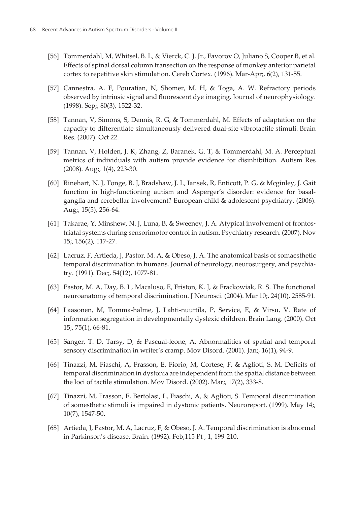- <span id="page-21-0"></span>[56] Tommerdahl, M, Whitsel, B. L, & Vierck, C. J. Jr., Favorov O, Juliano S, Cooper B, et al. Effects of spinal dorsal column transection on the response of monkey anterior parietal cortex to repetitive skin stimulation. Cereb Cortex. (1996). Mar-Apr;, 6(2), 131-55.
- [57] Cannestra, A. F, Pouratian, N, Shomer, M. H, & Toga, A. W. Refractory periods observed by intrinsic signal and fluorescent dye imaging. Journal of neurophysiology. (1998). Sep;, 80(3), 1522-32.
- [58] Tannan, V, Simons, S, Dennis, R. G, & Tommerdahl, M. Effects of adaptation on the capacity to differentiate simultaneously delivered dual-site vibrotactile stimuli. Brain Res. (2007). Oct 22.
- [59] Tannan, V, Holden, J. K, Zhang, Z, Baranek, G. T, & Tommerdahl, M. A. Perceptual metrics of individuals with autism provide evidence for disinhibition. Autism Res (2008). Aug;, 1(4), 223-30.
- [60] Rinehart, N. J, Tonge, B. J, Bradshaw, J. L, Iansek, R, Enticott, P. G, & Mcginley, J. Gait function in high-functioning autism and Asperger's disorder: evidence for basalganglia and cerebellar involvement? European child & adolescent psychiatry. (2006). Aug;, 15(5), 256-64.
- [61] Takarae, Y, Minshew, N. J, Luna, B, & Sweeney, J. A. Atypical involvement of frontos‐ triatal systems during sensorimotor control in autism. Psychiatry research. (2007). Nov 15;, 156(2), 117-27.
- [62] Lacruz, F, Artieda, J, Pastor, M. A, & Obeso, J. A. The anatomical basis of somaesthetic temporal discrimination in humans. Journal of neurology, neurosurgery, and psychia‐ try. (1991). Dec;, 54(12), 1077-81.
- [63] Pastor, M. A, Day, B. L, Macaluso, E, Friston, K. J, & Frackowiak, R. S. The functional neuroanatomy of temporal discrimination. J Neurosci. (2004). Mar 10;, 24(10), 2585-91.
- [64] Laasonen, M, Tomma-halme, J, Lahti-nuuttila, P, Service, E, & Virsu, V. Rate of information segregation in developmentally dyslexic children. Brain Lang. (2000). Oct 15;, 75(1), 66-81.
- [65] Sanger, T. D, Tarsy, D, & Pascual-leone, A. Abnormalities of spatial and temporal sensory discrimination in writer's cramp. Mov Disord. (2001). Jan;, 16(1), 94-9.
- [66] Tinazzi, M, Fiaschi, A, Frasson, E, Fiorio, M, Cortese, F, & Aglioti, S. M. Deficits of temporal discrimination in dystonia are independent from the spatial distance between the loci of tactile stimulation. Mov Disord. (2002). Mar;, 17(2), 333-8.
- [67] Tinazzi, M, Frasson, E, Bertolasi, L, Fiaschi, A, & Aglioti, S. Temporal discrimination of somesthetic stimuli is impaired in dystonic patients. Neuroreport. (1999). May 14;, 10(7), 1547-50.
- [68] Artieda, J, Pastor, M. A, Lacruz, F, & Obeso, J. A. Temporal discrimination is abnormal in Parkinson's disease. Brain. (1992). Feb;115 Pt , 1, 199-210.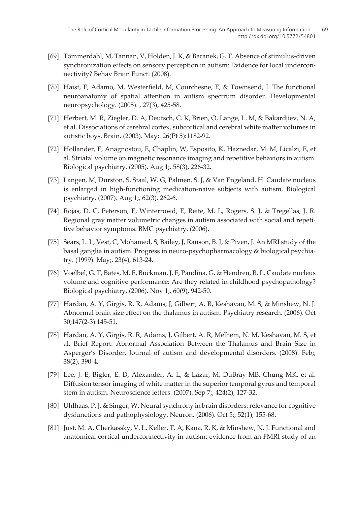- <span id="page-22-0"></span>[69] Tommerdahl, M, Tannan, V, Holden, J. K, & Baranek, G. T. Absence of stimulus-driven synchronization effects on sensory perception in autism: Evidence for local underconnectivity? Behav Brain Funct. (2008).
- [70] Haist, F, Adamo, M, Westerfield, M, Courchesne, E, & Townsend, J. The functional neuroanatomy of spatial attention in autism spectrum disorder. Developmental neuropsychology. (2005). , 27(3), 425-58.
- [71] Herbert, M. R, Ziegler, D. A, Deutsch, C. K, Brien, O, Lange, L. M, & Bakardjiev, N. A, et al. Dissociations of cerebral cortex, subcortical and cerebral white matter volumes in autistic boys. Brain. (2003). May;126(Pt 5):1182-92.
- [72] Hollander, E, Anagnostou, E, Chaplin, W, Esposito, K, Haznedar, M. M, Licalzi, E, et al. Striatal volume on magnetic resonance imaging and repetitive behaviors in autism. Biological psychiatry. (2005). Aug 1;, 58(3), 226-32.
- [73] Langen, M, Durston, S, Staal, W. G, Palmen, S. J, & Van Engeland, H. Caudate nucleus is enlarged in high-functioning medication-naive subjects with autism. Biological psychiatry. (2007). Aug 1;, 62(3), 262-6.
- [74] Rojas, D. C, Peterson, E, Winterrowd, E, Reite, M. L, Rogers, S. J, & Tregellas, J. R. Regional gray matter volumetric changes in autism associated with social and repeti‐ tive behavior symptoms. BMC psychiatry. (2006).
- [75] Sears, L. L, Vest, C, Mohamed, S, Bailey, J, Ranson, B. J, & Piven, J. An MRI study of the basal ganglia in autism. Progress in neuro-psychopharmacology & biological psychia‐ try. (1999). May;, 23(4), 613-24.
- [76] Voelbel, G. T, Bates, M. E, Buckman, J. F, Pandina, G, & Hendren, R. L. Caudate nucleus volume and cognitive performance: Are they related in childhood psychopathology? Biological psychiatry. (2006). Nov 1;, 60(9), 942-50.
- [77] Hardan, A. Y, Girgis, R. R, Adams, J, Gilbert, A. R, Keshavan, M. S, & Minshew, N. J. Abnormal brain size effect on the thalamus in autism. Psychiatry research. (2006). Oct 30;147(2-3):145-51.
- [78] Hardan, A. Y, Girgis, R. R, Adams, J, Gilbert, A. R, Melhem, N. M, Keshavan, M. S, et al. Brief Report: Abnormal Association Between the Thalamus and Brain Size in Asperger's Disorder. Journal of autism and developmental disorders. (2008). Feb;, 38(2), 390-4.
- [79] Lee, J. E, Bigler, E. D, Alexander, A. L, & Lazar, M. DuBray MB, Chung MK, et al. Diffusion tensor imaging of white matter in the superior temporal gyrus and temporal stem in autism. Neuroscience letters. (2007). Sep 7;, 424(2), 127-32.
- [80] Uhlhaas, P. J, & Singer, W. Neural synchrony in brain disorders: relevance for cognitive dysfunctions and pathophysiology. Neuron. (2006). Oct 5;, 52(1), 155-68.
- [81] Just, M. A, Cherkassky, V. L, Keller, T. A, Kana, R. K, & Minshew, N. J. Functional and anatomical cortical underconnectivity in autism: evidence from an FMRI study of an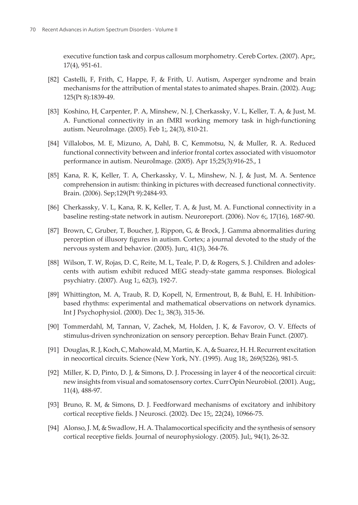<span id="page-23-0"></span>executive function task and corpus callosum morphometry. Cereb Cortex. (2007). Apr;, 17(4), 951-61.

- [82] Castelli, F, Frith, C, Happe, F, & Frith, U. Autism, Asperger syndrome and brain mechanisms for the attribution of mental states to animated shapes. Brain. (2002). Aug; 125(Pt 8):1839-49.
- [83] Koshino, H, Carpenter, P. A, Minshew, N. J, Cherkassky, V. L, Keller, T. A, & Just, M. A. Functional connectivity in an fMRI working memory task in high-functioning autism. NeuroImage. (2005). Feb 1;, 24(3), 810-21.
- [84] Villalobos, M. E, Mizuno, A, Dahl, B. C, Kemmotsu, N, & Muller, R. A. Reduced functional connectivity between and inferior frontal cortex associated with visuomotor performance in autism. NeuroImage. (2005). Apr 15;25(3):916-25., 1
- [85] Kana, R. K, Keller, T. A, Cherkassky, V. L, Minshew, N. J, & Just, M. A. Sentence comprehension in autism: thinking in pictures with decreased functional connectivity. Brain. (2006). Sep;129(Pt 9):2484-93.
- [86] Cherkassky, V. L, Kana, R. K, Keller, T. A, & Just, M. A. Functional connectivity in a baseline resting-state network in autism. Neuroreport. (2006). Nov 6;, 17(16), 1687-90.
- [87] Brown, C, Gruber, T, Boucher, J, Rippon, G, & Brock, J. Gamma abnormalities during perception of illusory figures in autism. Cortex; a journal devoted to the study of the nervous system and behavior. (2005). Jun;, 41(3), 364-76.
- [88] Wilson, T. W, Rojas, D. C, Reite, M. L, Teale, P. D, & Rogers, S. J. Children and adolescents with autism exhibit reduced MEG steady-state gamma responses. Biological psychiatry. (2007). Aug 1;, 62(3), 192-7.
- [89] Whittington, M. A, Traub, R. D, Kopell, N, Ermentrout, B, & Buhl, E. H. Inhibitionbased rhythms: experimental and mathematical observations on network dynamics. Int J Psychophysiol. (2000). Dec 1;, 38(3), 315-36.
- [90] Tommerdahl, M, Tannan, V, Zachek, M, Holden, J. K, & Favorov, O. V. Effects of stimulus-driven synchronization on sensory perception. Behav Brain Funct. (2007).
- [91] Douglas, R. J, Koch, C, Mahowald, M, Martin, K. A, & Suarez, H. H. Recurrent excitation in neocortical circuits. Science (New York, NY. (1995). Aug 18;, 269(5226), 981-5.
- [92] Miller, K. D, Pinto, D. J, & Simons, D. J. Processing in layer 4 of the neocortical circuit: new insights from visual and somatosensory cortex. Curr Opin Neurobiol. (2001). Aug;, 11(4), 488-97.
- [93] Bruno, R. M, & Simons, D. J. Feedforward mechanisms of excitatory and inhibitory cortical receptive fields. J Neurosci. (2002). Dec 15;, 22(24), 10966-75.
- [94] Alonso, J. M, & Swadlow, H. A. Thalamocortical specificity and the synthesis of sensory cortical receptive fields. Journal of neurophysiology. (2005). Jul;, 94(1), 26-32.